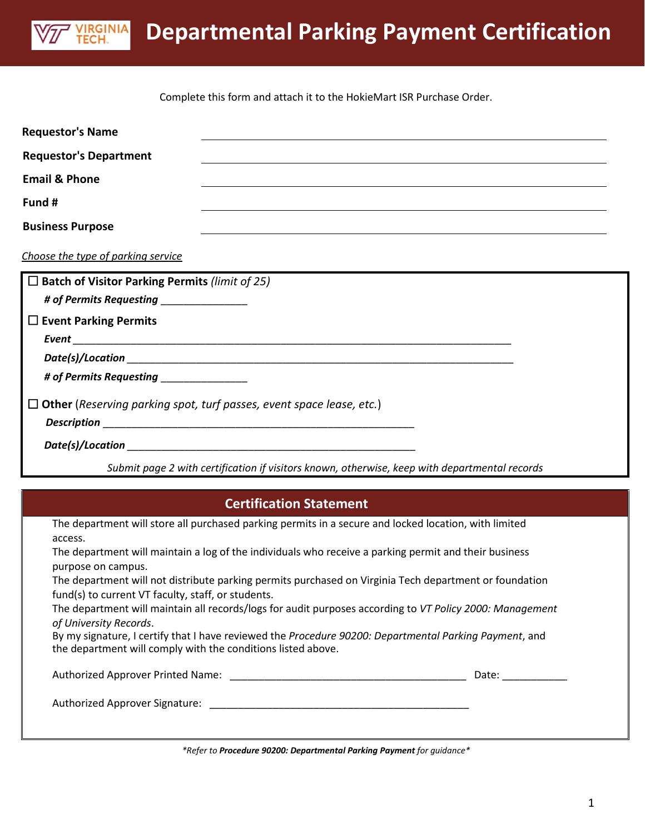

Complete this form and attach it to the HokieMart ISR Purchase Order.

| <b>Requestor's Name</b>                                      |                                                                                                          |
|--------------------------------------------------------------|----------------------------------------------------------------------------------------------------------|
| <b>Requestor's Department</b>                                |                                                                                                          |
| <b>Email &amp; Phone</b>                                     |                                                                                                          |
| Fund #                                                       |                                                                                                          |
| <b>Business Purpose</b>                                      |                                                                                                          |
| Choose the type of parking service                           |                                                                                                          |
| $\square$ Batch of Visitor Parking Permits (limit of 25)     |                                                                                                          |
|                                                              |                                                                                                          |
| $\square$ Event Parking Permits                              |                                                                                                          |
|                                                              |                                                                                                          |
|                                                              |                                                                                                          |
| # of Permits Requesting __________________                   |                                                                                                          |
|                                                              |                                                                                                          |
|                                                              | $\Box$ Other (Reserving parking spot, turf passes, event space lease, etc.)                              |
|                                                              |                                                                                                          |
|                                                              |                                                                                                          |
|                                                              | Submit page 2 with certification if visitors known, otherwise, keep with departmental records            |
|                                                              |                                                                                                          |
|                                                              | <b>Certification Statement</b>                                                                           |
|                                                              | The department will store all purchased parking permits in a secure and locked location, with limited    |
| access.                                                      |                                                                                                          |
|                                                              | The department will maintain a log of the individuals who receive a parking permit and their business    |
| purpose on campus.                                           | The department will not distribute parking permits purchased on Virginia Tech department or foundation   |
| fund(s) to current VT faculty, staff, or students.           |                                                                                                          |
|                                                              | The department will maintain all records/logs for audit purposes according to VT Policy 2000: Management |
| of University Records.                                       |                                                                                                          |
| the department will comply with the conditions listed above. | By my signature, I certify that I have reviewed the Procedure 90200: Departmental Parking Payment, and   |

Authorized Approver Printed Name: \_\_\_\_\_\_\_\_\_\_\_\_\_\_\_\_\_\_\_\_\_\_\_\_\_\_\_\_\_\_\_\_\_\_\_\_\_\_\_\_\_ Date: \_\_\_\_\_\_\_\_\_\_\_\_

Authorized Approver Signature: \_\_\_\_\_\_\_\_\_\_\_\_\_\_\_\_\_\_\_\_\_\_\_\_\_\_\_\_\_\_\_\_\_\_\_\_\_\_\_\_\_\_\_\_\_

*\*Refer to Procedure 90200: Departmental Parking Payment for guidance\**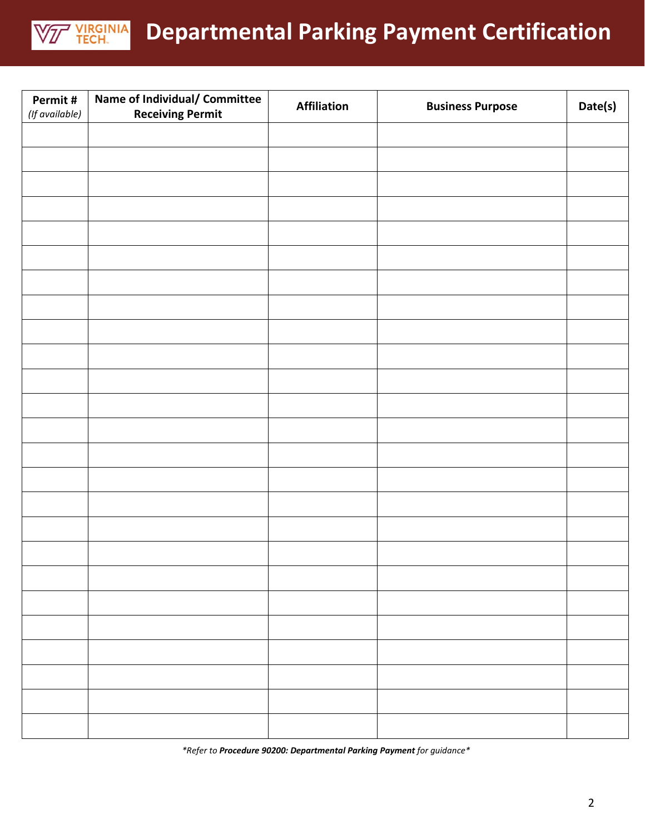

## **Departmental Parking Payment Certification**

| Permit#<br>(If available) | Name of Individual/ Committee<br><b>Receiving Permit</b> | <b>Affiliation</b> | <b>Business Purpose</b> | Date(s) |
|---------------------------|----------------------------------------------------------|--------------------|-------------------------|---------|
|                           |                                                          |                    |                         |         |
|                           |                                                          |                    |                         |         |
|                           |                                                          |                    |                         |         |
|                           |                                                          |                    |                         |         |
|                           |                                                          |                    |                         |         |
|                           |                                                          |                    |                         |         |
|                           |                                                          |                    |                         |         |
|                           |                                                          |                    |                         |         |
|                           |                                                          |                    |                         |         |
|                           |                                                          |                    |                         |         |
|                           |                                                          |                    |                         |         |
|                           |                                                          |                    |                         |         |
|                           |                                                          |                    |                         |         |
|                           |                                                          |                    |                         |         |
|                           |                                                          |                    |                         |         |
|                           |                                                          |                    |                         |         |
|                           |                                                          |                    |                         |         |
|                           |                                                          |                    |                         |         |
|                           |                                                          |                    |                         |         |
|                           |                                                          |                    |                         |         |
|                           |                                                          |                    |                         |         |
|                           |                                                          |                    |                         |         |
|                           |                                                          |                    |                         |         |
|                           |                                                          |                    |                         |         |
|                           |                                                          |                    |                         |         |

*\*Refer to Procedure 90200: Departmental Parking Payment for guidance\**